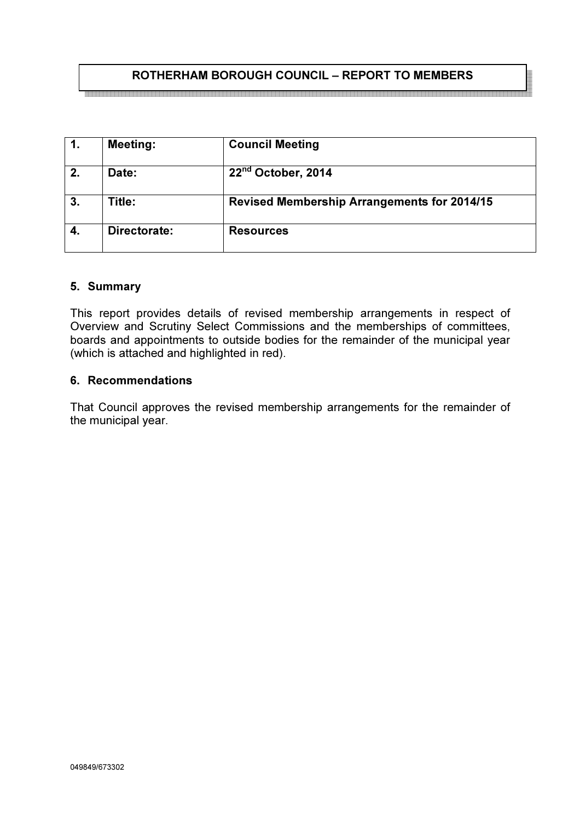# ROTHERHAM BOROUGH COUNCIL – REPORT TO MEMBERS

| 1. | <b>Meeting:</b> | <b>Council Meeting</b>                             |
|----|-----------------|----------------------------------------------------|
| 2. | Date:           | 22 <sup>nd</sup> October, 2014                     |
| 3. | Title:          | <b>Revised Membership Arrangements for 2014/15</b> |
|    | Directorate:    | <b>Resources</b>                                   |

### 5. Summary

This report provides details of revised membership arrangements in respect of Overview and Scrutiny Select Commissions and the memberships of committees, boards and appointments to outside bodies for the remainder of the municipal year (which is attached and highlighted in red).

## 6. Recommendations

That Council approves the revised membership arrangements for the remainder of the municipal year.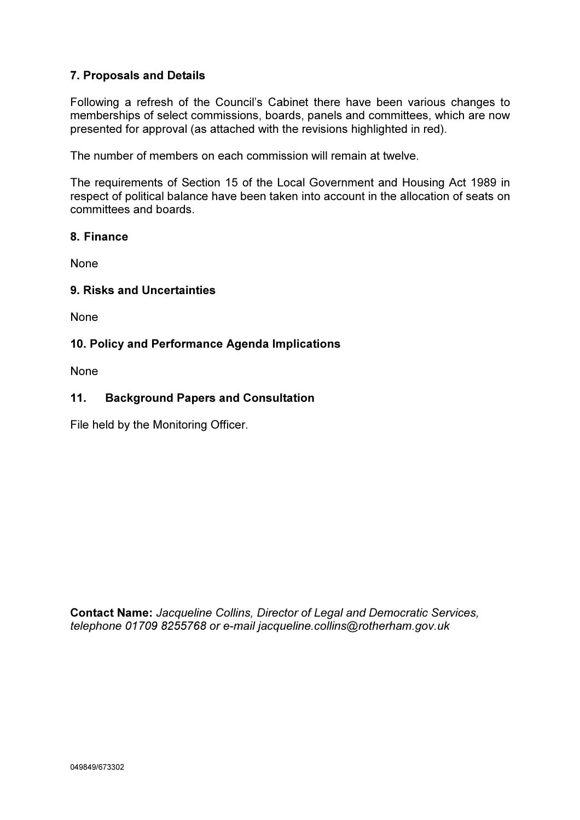# 7. Proposals and Details

Following a refresh of the Council's Cabinet there have been various changes to memberships of select commissions, boards, panels and committees, which are now presented for approval (as attached with the revisions highlighted in red).

The number of members on each commission will remain at twelve.

The requirements of Section 15 of the Local Government and Housing Act 1989 in respect of political balance have been taken into account in the allocation of seats on committees and boards.

## 8. Finance

None

## 9. Risks and Uncertainties

None

## 10. Policy and Performance Agenda Implications

None

## 11. Background Papers and Consultation

File held by the Monitoring Officer.

Contact Name: Jacqueline Collins, Director of Legal and Democratic Services, telephone 01709 8255768 or e-mail jacqueline.collins@rotherham.gov.uk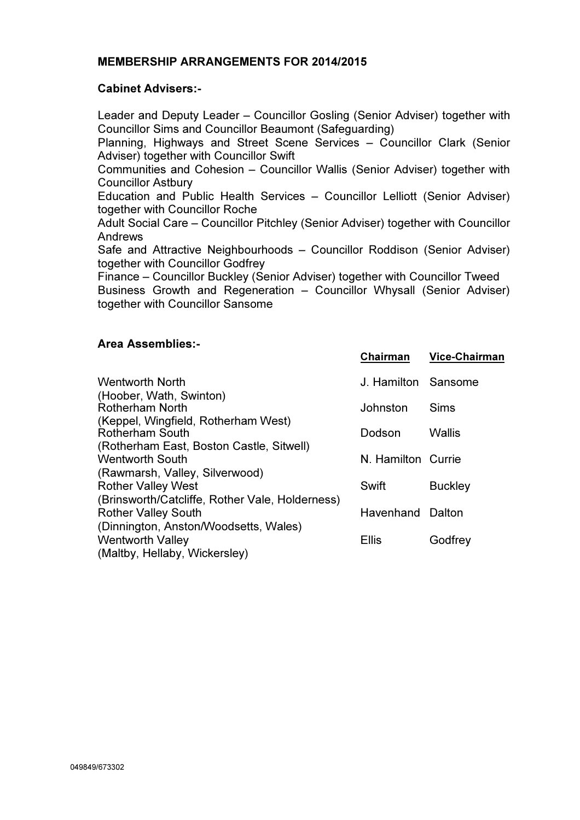## MEMBERSHIP ARRANGEMENTS FOR 2014/2015

### Cabinet Advisers:-

Leader and Deputy Leader – Councillor Gosling (Senior Adviser) together with Councillor Sims and Councillor Beaumont (Safeguarding)

Planning, Highways and Street Scene Services – Councillor Clark (Senior Adviser) together with Councillor Swift

Communities and Cohesion – Councillor Wallis (Senior Adviser) together with Councillor Astbury

Education and Public Health Services – Councillor Lelliott (Senior Adviser) together with Councillor Roche

Adult Social Care – Councillor Pitchley (Senior Adviser) together with Councillor Andrews

Safe and Attractive Neighbourhoods – Councillor Roddison (Senior Adviser) together with Councillor Godfrey

Finance – Councillor Buckley (Senior Adviser) together with Councillor Tweed Business Growth and Regeneration – Councillor Whysall (Senior Adviser) together with Councillor Sansome

#### Area Assemblies:-

|                                                                               | Chairman            | <b>Vice-Chairman</b> |
|-------------------------------------------------------------------------------|---------------------|----------------------|
| <b>Wentworth North</b>                                                        | J. Hamilton Sansome |                      |
| (Hoober, Wath, Swinton)<br><b>Rotherham North</b>                             | Johnston            | Sims                 |
| (Keppel, Wingfield, Rotherham West)<br><b>Rotherham South</b>                 | Dodson              | Wallis               |
| (Rotherham East, Boston Castle, Sitwell)<br><b>Wentworth South</b>            | N. Hamilton Currie  |                      |
| (Rawmarsh, Valley, Silverwood)<br><b>Rother Valley West</b>                   | Swift               | <b>Buckley</b>       |
| (Brinsworth/Catcliffe, Rother Vale, Holderness)<br><b>Rother Valley South</b> | Havenhand Dalton    |                      |
| (Dinnington, Anston/Woodsetts, Wales)<br><b>Wentworth Valley</b>              | Ellis               | Godfrey              |
| (Maltby, Hellaby, Wickersley)                                                 |                     |                      |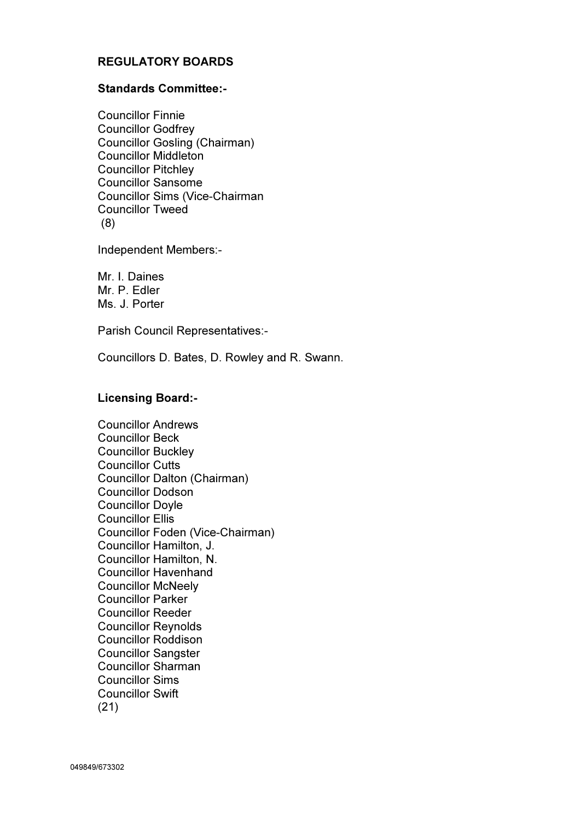# REGULATORY BOARDS

### Standards Committee:-

Councillor Finnie Councillor Godfrey Councillor Gosling (Chairman) Councillor Middleton Councillor Pitchley Councillor Sansome Councillor Sims (Vice-Chairman Councillor Tweed (8)

Independent Members:-

Mr. I. Daines Mr. P. Edler Ms. J. Porter

Parish Council Representatives:-

Councillors D. Bates, D. Rowley and R. Swann.

### Licensing Board:-

Councillor Andrews Councillor Beck Councillor Buckley Councillor Cutts Councillor Dalton (Chairman) Councillor Dodson Councillor Doyle Councillor Ellis Councillor Foden (Vice-Chairman) Councillor Hamilton, J. Councillor Hamilton, N. Councillor Havenhand Councillor McNeely Councillor Parker Councillor Reeder Councillor Reynolds Councillor Roddison Councillor Sangster Councillor Sharman Councillor Sims Councillor Swift (21)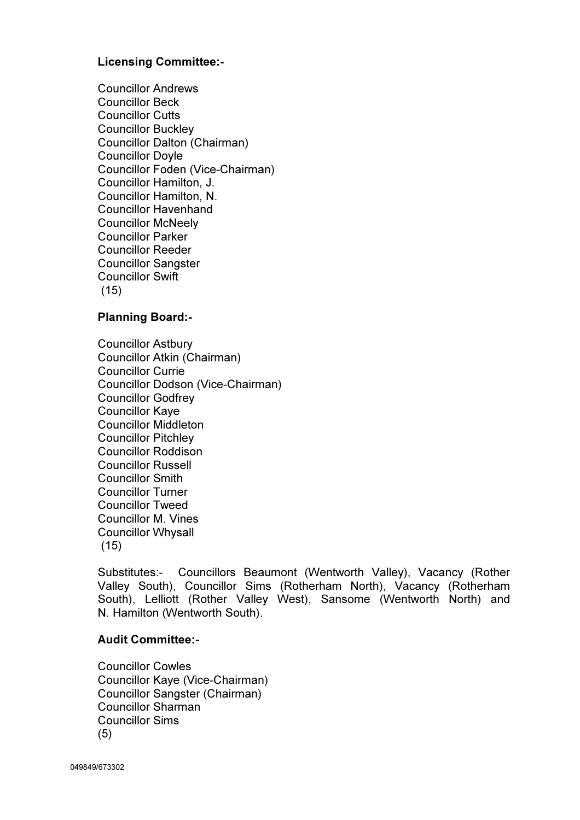## Licensing Committee:-

Councillor Andrews Councillor Beck Councillor Cutts Councillor Buckley Councillor Dalton (Chairman) Councillor Doyle Councillor Foden (Vice-Chairman) Councillor Hamilton, J. Councillor Hamilton, N. Councillor Havenhand Councillor McNeely Councillor Parker Councillor Reeder Councillor Sangster Councillor Swift (15)

## Planning Board:-

Councillor Astbury Councillor Atkin (Chairman) Councillor Currie Councillor Dodson (Vice-Chairman) Councillor Godfrey Councillor Kaye Councillor Middleton Councillor Pitchley Councillor Roddison Councillor Russell Councillor Smith Councillor Turner Councillor Tweed Councillor M. Vines Councillor Whysall (15)

Substitutes:- Councillors Beaumont (Wentworth Valley), Vacancy (Rother Valley South), Councillor Sims (Rotherham North), Vacancy (Rotherham South), Lelliott (Rother Valley West), Sansome (Wentworth North) and N. Hamilton (Wentworth South).

### Audit Committee:-

Councillor Cowles Councillor Kaye (Vice-Chairman) Councillor Sangster (Chairman) Councillor Sharman Councillor Sims (5)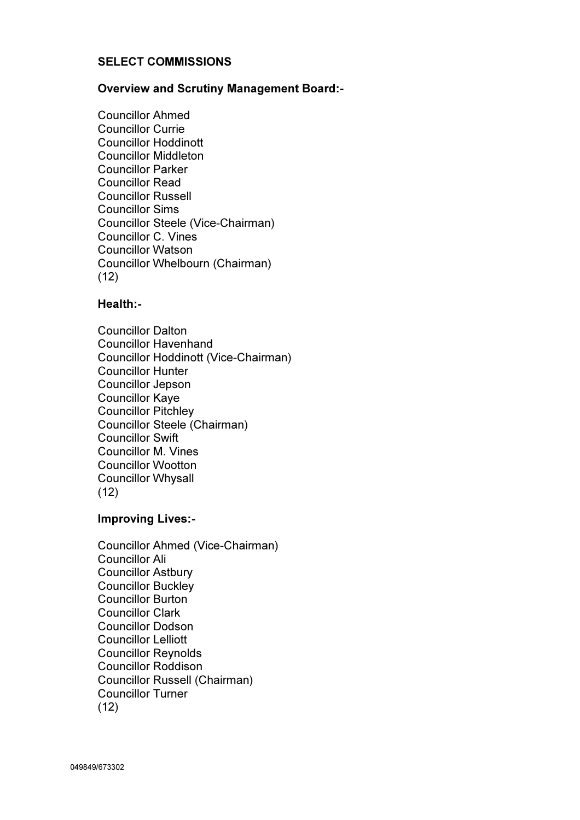## SELECT COMMISSIONS

#### Overview and Scrutiny Management Board:-

Councillor Ahmed Councillor Currie Councillor Hoddinott Councillor Middleton Councillor Parker Councillor Read Councillor Russell Councillor Sims Councillor Steele (Vice-Chairman) Councillor C. Vines Councillor Watson Councillor Whelbourn (Chairman) (12)

### Health:-

Councillor Dalton Councillor Havenhand Councillor Hoddinott (Vice-Chairman) Councillor Hunter Councillor Jepson Councillor Kaye Councillor Pitchley Councillor Steele (Chairman) Councillor Swift Councillor M. Vines Councillor Wootton Councillor Whysall (12)

## Improving Lives:-

Councillor Ahmed (Vice-Chairman) Councillor Ali Councillor Astbury Councillor Buckley Councillor Burton Councillor Clark Councillor Dodson Councillor Lelliott Councillor Reynolds Councillor Roddison Councillor Russell (Chairman) Councillor Turner (12)